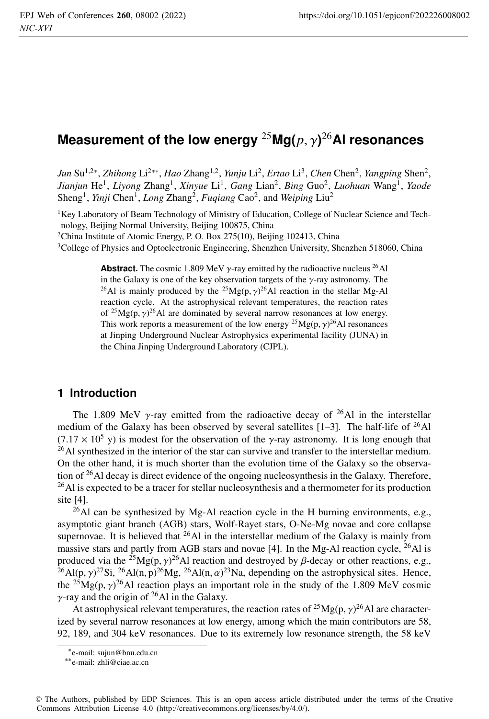# **Measurement of the low energy** <sup>25</sup>**Mg(***p*, γ**)** <sup>26</sup>**Al resonances**

*Jun* Su<sup>1,2∗</sup>, *Zhihong* Li<sup>2∗∗</sup>, *Hao* Zhang<sup>1,2</sup>, *Yunju* Li<sup>2</sup>, *Ertao* Li<sup>3</sup>, *Chen* Chen<sup>2</sup>, *Yangping* Shen<sup>2</sup>, *Jianjun* He1, *Liyong* Zhang1, *Xinyue* Li1, *Gang* Lian2, *Bing* Guo2, *Luohuan* Wang1, *Yaode* Sheng<sup>1</sup>, *Yinji* Chen<sup>1</sup>, *Long* Zhang<sup>2</sup>, *Fuqiang* Cao<sup>2</sup>, and *Weiping* Liu<sup>2</sup>

<sup>1</sup>Key Laboratory of Beam Technology of Ministry of Education, College of Nuclear Science and Technology, Beijing Normal University, Beijing 100875, China

<sup>2</sup>China Institute of Atomic Energy, P. O. Box 275(10), Beijing 102413, China

3College of Physics and Optoelectronic Engineering, Shenzhen University, Shenzhen 518060, China

**Abstract.** The cosmic 1.809 MeV  $\gamma$ -ray emitted by the radioactive nucleus <sup>26</sup>Al in the Galaxy is one of the key observation targets of the  $\gamma$ -ray astronomy. The <sup>26</sup>Al is mainly produced by the <sup>25</sup>Mg(p,  $\gamma$ )<sup>26</sup>Al reaction in the stellar Mg-Al reaction cycle. At the astrophysical relevant temperatures, the reaction rates of <sup>25</sup>Mg(p,  $\gamma$ )<sup>26</sup>Al are dominated by several narrow resonances at low energy. This work reports a measurement of the low energy <sup>25</sup>Mg(p,  $\gamma$ )<sup>26</sup>Al resonances at Jinping Underground Nuclear Astrophysics experimental facility (JUNA) in the China Jinping Underground Laboratory (CJPL).

# **1 Introduction**

The 1.809 MeV  $\gamma$ -ray emitted from the radioactive decay of <sup>26</sup>Al in the interstellar medium of the Galaxy has been observed by several satellites  $[1-3]$ . The half-life of <sup>26</sup>Al  $(7.17 \times 10^5$  y) is modest for the observation of the  $\gamma$ -ray astronomy. It is long enough that  $^{26}$ Al synthesized in the interior of the star can survive and transfer to the interstellar medium. On the other hand, it is much shorter than the evolution time of the Galaxy so the observation of  $^{26}$ Al decay is direct evidence of the ongoing nucleosynthesis in the Galaxy. Therefore,  $^{26}$ Al is expected to be a tracer for stellar nucleosynthesis and a thermometer for its production site [4].

<sup>26</sup>Al can be synthesized by Mg-Al reaction cycle in the H burning environments, e.g., asymptotic giant branch (AGB) stars, Wolf-Rayet stars, O-Ne-Mg novae and core collapse supernovae. It is believed that <sup>26</sup>Al in the interstellar medium of the Galaxy is mainly from massive stars and partly from AGB stars and novae [4]. In the Mg-Al reaction cycle, <sup>26</sup>Al is produced via the <sup>25</sup>Mg(p,  $\gamma$ )<sup>26</sup>Al reaction and destroyed by  $\beta$ -decay or other reactions, e.g., <sup>26</sup>Al(p,  $\gamma$ )<sup>27</sup>Si, <sup>26</sup>Al(n, p)<sup>26</sup>Mg, <sup>26</sup>Al(n,  $\alpha$ )<sup>23</sup>Na, depending on the astrophysical sites. Hence, the <sup>25</sup>Mg(p,  $\gamma$ )<sup>26</sup>Al reaction plays an important role in the study of the 1.809 MeV cosmic  $\gamma$ -ray and the origin of <sup>26</sup>Al in the Galaxy.

At astrophysical relevant temperatures, the reaction rates of <sup>25</sup>Mg(p,  $\gamma$ )<sup>26</sup>Al are characterized by several narrow resonances at low energy, among which the main contributors are 58, 92, 189, and 304 keV resonances. Due to its extremely low resonance strength, the 58 keV

<sup>∗</sup>e-mail: sujun@bnu.edu.cn

<sup>∗∗</sup>e-mail: zhli@ciae.ac.cn

<sup>©</sup> The Authors, published by EDP Sciences. This is an open access article distributed under the terms of the Creative Commons Attribution License 4.0 (http://creativecommons.org/licenses/by/4.0/).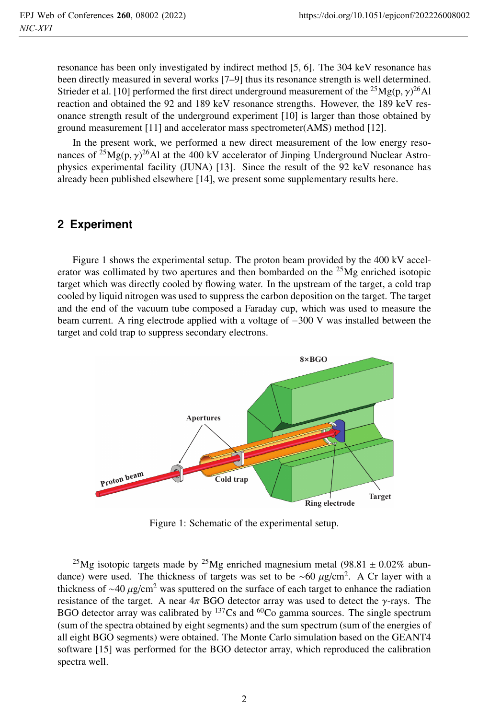resonance has been only investigated by indirect method [5, 6]. The 304 keV resonance has been directly measured in several works [7–9] thus its resonance strength is well determined. Strieder et al. [10] performed the first direct underground measurement of the  $^{25}Mg(p,\gamma)^{26}$ Al reaction and obtained the 92 and 189 keV resonance strengths. However, the 189 keV resonance strength result of the underground experiment [10] is larger than those obtained by ground measurement [11] and accelerator mass spectrometer(AMS) method [12].

In the present work, we performed a new direct measurement of the low energy resonances of <sup>25</sup>Mg(p,  $\gamma$ )<sup>26</sup>Al at the 400 kV accelerator of Jinping Underground Nuclear Astrophysics experimental facility (JUNA) [13]. Since the result of the 92 keV resonance has already been published elsewhere [14], we present some supplementary results here.

# **2 Experiment**

Figure 1 shows the experimental setup. The proton beam provided by the 400 kV accelerator was collimated by two apertures and then bombarded on the  $^{25}Mg$  enriched isotopic target which was directly cooled by flowing water. In the upstream of the target, a cold trap cooled by liquid nitrogen was used to suppress the carbon deposition on the target. The target and the end of the vacuum tube composed a Faraday cup, which was used to measure the beam current. A ring electrode applied with a voltage of −300 V was installed between the target and cold trap to suppress secondary electrons.



Figure 1: Schematic of the experimental setup.

<sup>25</sup>Mg isotopic targets made by <sup>25</sup>Mg enriched magnesium metal (98.81  $\pm$  0.02% abundance) were used. The thickness of targets was set to be ~60  $\mu$ g/cm<sup>2</sup>. A Cr layer with a thickness of ~40  $\mu$ g/cm<sup>2</sup> was sputtered on the surface of each target to enhance the radiation resistance of the target. A near  $4\pi$  BGO detector array was used to detect the  $\gamma$ -rays. The BGO detector array was calibrated by <sup>137</sup>Cs and <sup>60</sup>Co gamma sources. The single spectrum (sum of the spectra obtained by eight segments) and the sum spectrum (sum of the energies of all eight BGO segments) were obtained. The Monte Carlo simulation based on the GEANT4 software [15] was performed for the BGO detector array, which reproduced the calibration spectra well.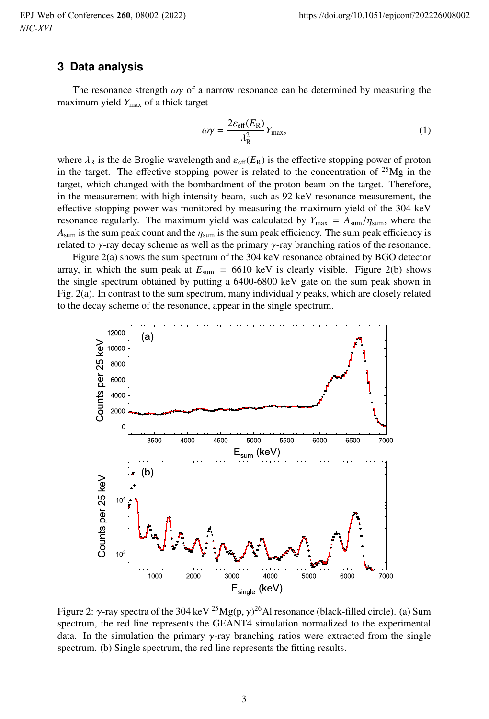#### **3 Data analysis**

The resonance strength  $\omega\gamma$  of a narrow resonance can be determined by measuring the maximum yield *Y*max of a thick target

$$
\omega \gamma = \frac{2\varepsilon_{\text{eff}}(E_{\text{R}})}{\lambda_{\text{R}}^2} Y_{\text{max}},\tag{1}
$$

where  $\lambda_R$  is the de Broglie wavelength and  $\varepsilon_{\text{eff}}(E_R)$  is the effective stopping power of proton in the target. The effective stopping power is related to the concentration of  $^{25}Mg$  in the target, which changed with the bombardment of the proton beam on the target. Therefore, in the measurement with high-intensity beam, such as 92 keV resonance measurement, the effective stopping power was monitored by measuring the maximum yield of the 304 keV resonance regularly. The maximum yield was calculated by  $Y_{\text{max}} = A_{\text{sum}}/\eta_{\text{sum}}$ , where the  $A_{\text{sum}}$  is the sum peak count and the  $\eta_{\text{sum}}$  is the sum peak efficiency. The sum peak efficiency is related to  $\gamma$ -ray decay scheme as well as the primary  $\gamma$ -ray branching ratios of the resonance.

Figure 2(a) shows the sum spectrum of the 304 keV resonance obtained by BGO detector array, in which the sum peak at  $E_{\text{sum}} = 6610 \text{ keV}$  is clearly visible. Figure 2(b) shows the single spectrum obtained by putting a 6400-6800 keV gate on the sum peak shown in Fig. 2(a). In contrast to the sum spectrum, many individual  $\gamma$  peaks, which are closely related to the decay scheme of the resonance, appear in the single spectrum.



Figure 2: γ-ray spectra of the 304 keV <sup>25</sup>Mg(p,  $\gamma$ )<sup>26</sup>Al resonance (black-filled circle). (a) Sum spectrum, the red line represents the GEANT4 simulation normalized to the experimental data. In the simulation the primary  $\gamma$ -ray branching ratios were extracted from the single spectrum. (b) Single spectrum, the red line represents the fitting results.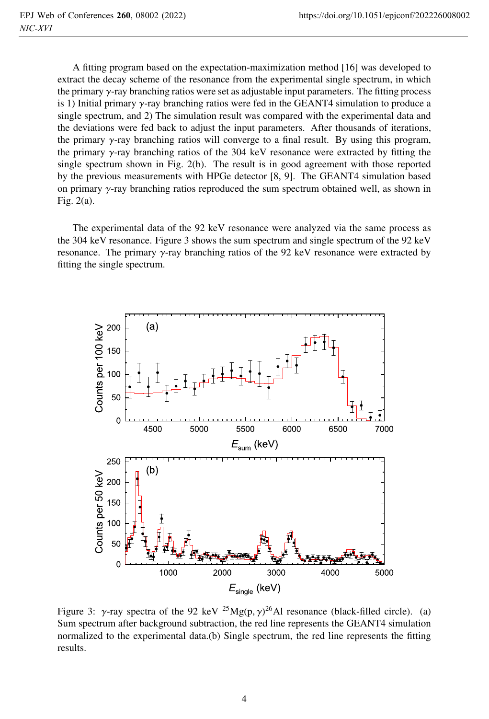A fitting program based on the expectation-maximization method [16] was developed to extract the decay scheme of the resonance from the experimental single spectrum, in which the primary  $\gamma$ -ray branching ratios were set as adjustable input parameters. The fitting process is 1) Initial primary  $\gamma$ -ray branching ratios were fed in the GEANT4 simulation to produce a single spectrum, and 2) The simulation result was compared with the experimental data and the deviations were fed back to adjust the input parameters. After thousands of iterations, the primary  $\gamma$ -ray branching ratios will converge to a final result. By using this program, the primary γ-ray branching ratios of the 304 keV resonance were extracted by fitting the single spectrum shown in Fig. 2(b). The result is in good agreement with those reported by the previous measurements with HPGe detector [8, 9]. The GEANT4 simulation based on primary  $\gamma$ -ray branching ratios reproduced the sum spectrum obtained well, as shown in Fig. 2(a).

The experimental data of the 92 keV resonance were analyzed via the same process as the 304 keV resonance. Figure 3 shows the sum spectrum and single spectrum of the 92 keV resonance. The primary γ-ray branching ratios of the 92 keV resonance were extracted by fitting the single spectrum.



Figure 3: γ-ray spectra of the 92 keV <sup>25</sup>Mg(p,  $\gamma$ )<sup>26</sup>Al resonance (black-filled circle). (a) Sum spectrum after background subtraction, the red line represents the GEANT4 simulation normalized to the experimental data.(b) Single spectrum, the red line represents the fitting results.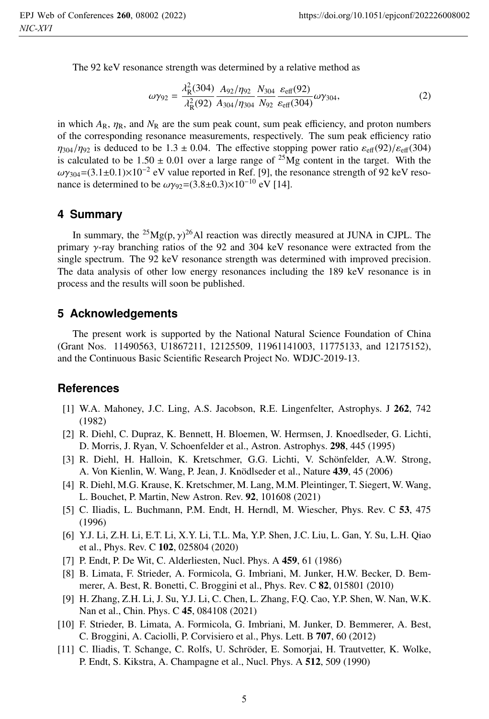The 92 keV resonance strength was determined by a relative method as

$$
\omega\gamma_{92} = \frac{\lambda_{\rm R}^2(304)}{\lambda_{\rm R}^2(92)} \frac{A_{92}/\eta_{92}}{A_{304}/\eta_{304}} \frac{N_{304}}{N_{92}} \frac{\varepsilon_{\rm eff}(92)}{\varepsilon_{\rm eff}(304)} \omega\gamma_{304},\tag{2}
$$

in which  $A_R$ ,  $\eta_R$ , and  $N_R$  are the sum peak count, sum peak efficiency, and proton numbers of the corresponding resonance measurements, respectively. The sum peak efficiency ratio  $\eta_{304}/\eta_{92}$  is deduced to be 1.3 ± 0.04. The effective stopping power ratio  $\varepsilon_{\text{eff}}(92)/\varepsilon_{\text{eff}}(304)$ is calculated to be  $1.50 \pm 0.01$  over a large range of  $^{25}Mg$  content in the target. With the  $\omega\gamma_{304}$ =(3.1±0.1)×10<sup>-2</sup> eV value reported in Ref. [9], the resonance strength of 92 keV resonance is determined to be  $\omega y_{92} = (3.8 \pm 0.3) \times 10^{-10}$  eV [14].

#### **4 Summary**

In summary, the <sup>25</sup>Mg(p,  $\gamma$ )<sup>26</sup>Al reaction was directly measured at JUNA in CJPL. The primary γ-ray branching ratios of the 92 and 304 keV resonance were extracted from the single spectrum. The 92 keV resonance strength was determined with improved precision. The data analysis of other low energy resonances including the 189 keV resonance is in process and the results will soon be published.

## **5 Acknowledgements**

The present work is supported by the National Natural Science Foundation of China (Grant Nos. 11490563, U1867211, 12125509, 11961141003, 11775133, and 12175152), and the Continuous Basic Scientific Research Project No. WDJC-2019-13.

## **References**

- [1] W.A. Mahoney, J.C. Ling, A.S. Jacobson, R.E. Lingenfelter, Astrophys. J 262, 742 (1982)
- [2] R. Diehl, C. Dupraz, K. Bennett, H. Bloemen, W. Hermsen, J. Knoedlseder, G. Lichti, D. Morris, J. Ryan, V. Schoenfelder et al., Astron. Astrophys. 298, 445 (1995)
- [3] R. Diehl, H. Halloin, K. Kretschmer, G.G. Lichti, V. Schönfelder, A.W. Strong, A. Von Kienlin, W. Wang, P. Jean, J. Knödlseder et al., Nature 439, 45 (2006)
- [4] R. Diehl, M.G. Krause, K. Kretschmer, M. Lang, M.M. Pleintinger, T. Siegert, W. Wang, L. Bouchet, P. Martin, New Astron. Rev. 92, 101608 (2021)
- [5] C. Iliadis, L. Buchmann, P.M. Endt, H. Herndl, M. Wiescher, Phys. Rev. C 53, 475 (1996)
- [6] Y.J. Li, Z.H. Li, E.T. Li, X.Y. Li, T.L. Ma, Y.P. Shen, J.C. Liu, L. Gan, Y. Su, L.H. Qiao et al., Phys. Rev. C 102, 025804 (2020)
- [7] P. Endt, P. De Wit, C. Alderliesten, Nucl. Phys. A 459, 61 (1986)
- [8] B. Limata, F. Strieder, A. Formicola, G. Imbriani, M. Junker, H.W. Becker, D. Bemmerer, A. Best, R. Bonetti, C. Broggini et al., Phys. Rev. C 82, 015801 (2010)
- [9] H. Zhang, Z.H. Li, J. Su, Y.J. Li, C. Chen, L. Zhang, F.Q. Cao, Y.P. Shen, W. Nan, W.K. Nan et al., Chin. Phys. C 45, 084108 (2021)
- [10] F. Strieder, B. Limata, A. Formicola, G. Imbriani, M. Junker, D. Bemmerer, A. Best, C. Broggini, A. Caciolli, P. Corvisiero et al., Phys. Lett. B 707, 60 (2012)
- [11] C. Iliadis, T. Schange, C. Rolfs, U. Schröder, E. Somorjai, H. Trautvetter, K. Wolke, P. Endt, S. Kikstra, A. Champagne et al., Nucl. Phys. A 512, 509 (1990)